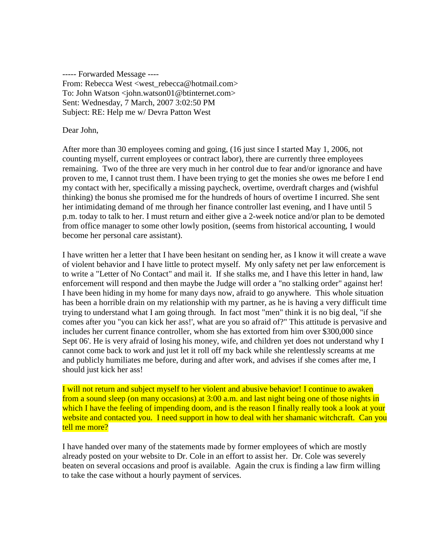----- Forwarded Message ---- From: Rebecca West <west\_rebecca@hotmail.com> To: John Watson <iohn.watson01@btinternet.com> Sent: Wednesday, 7 March, 2007 3:02:50 PM Subject: RE: Help me w/ Devra Patton West

Dear John,

After more than 30 employees coming and going, (16 just since I started May 1, 2006, not counting myself, current employees or contract labor), there are currently three employees remaining. Two of the three are very much in her control due to fear and/or ignorance and have proven to me, I cannot trust them. I have been trying to get the monies she owes me before I end my contact with her, specifically a missing paycheck, overtime, overdraft charges and (wishful thinking) the bonus she promised me for the hundreds of hours of overtime I incurred. She sent her intimidating demand of me through her finance controller last evening, and I have until 5 p.m. today to talk to her. I must return and either give a 2-week notice and/or plan to be demoted from office manager to some other lowly position, (seems from historical accounting, I would become her personal care assistant).

I have written her a letter that I have been hesitant on sending her, as I know it will create a wave of violent behavior and I have little to protect myself. My only safety net per law enforcement is to write a "Letter of No Contact" and mail it. If she stalks me, and I have this letter in hand, law enforcement will respond and then maybe the Judge will order a "no stalking order" against her! I have been hiding in my home for many days now, afraid to go anywhere. This whole situation has been a horrible drain on my relationship with my partner, as he is having a very difficult time trying to understand what I am going through. In fact most "men" think it is no big deal, "if she comes after you "you can kick her ass!', what are you so afraid of?" This attitude is pervasive and includes her current finance controller, whom she has extorted from him over \$300,000 since Sept 06'. He is very afraid of losing his money, wife, and children yet does not understand why I cannot come back to work and just let it roll off my back while she relentlessly screams at me and publicly humiliates me before, during and after work, and advises if she comes after me, I should just kick her ass!

I will not return and subject myself to her violent and abusive behavior! I continue to awaken from a sound sleep (on many occasions) at 3:00 a.m. and last night being one of those nights in which I have the feeling of impending doom, and is the reason I finally really took a look at your website and contacted you. I need support in how to deal with her shamanic witchcraft. Can you tell me more?

I have handed over many of the statements made by former employees of which are mostly already posted on your website to Dr. Cole in an effort to assist her. Dr. Cole was severely beaten on several occasions and proof is available. Again the crux is finding a law firm willing to take the case without a hourly payment of services.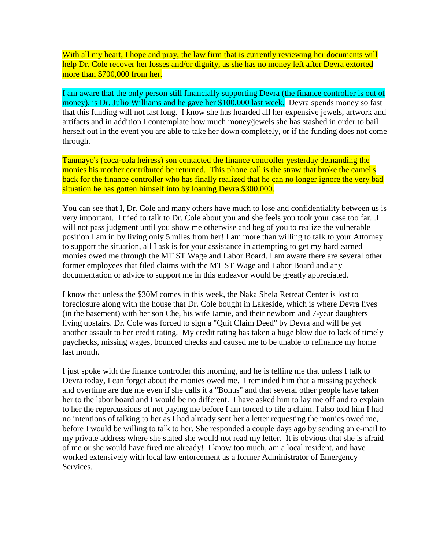With all my heart, I hope and pray, the law firm that is currently reviewing her documents will help Dr. Cole recover her losses and/or dignity, as she has no money left after Devra extorted more than \$700,000 from her.

I am aware that the only person still financially supporting Devra (the finance controller is out of money), is Dr. Julio Williams and he gave her \$100,000 last week. Devra spends money so fast that this funding will not last long. I know she has hoarded all her expensive jewels, artwork and artifacts and in addition I contemplate how much money/jewels she has stashed in order to bail herself out in the event you are able to take her down completely, or if the funding does not come through.

Tanmayo's (coca-cola heiress) son contacted the finance controller yesterday demanding the monies his mother contributed be returned. This phone call is the straw that broke the camel's back for the finance controller who has finally realized that he can no longer ignore the very bad situation he has gotten himself into by loaning Devra \$300,000.

You can see that I, Dr. Cole and many others have much to lose and confidentiality between us is very important. I tried to talk to Dr. Cole about you and she feels you took your case too far...I will not pass judgment until you show me otherwise and beg of you to realize the vulnerable position I am in by living only 5 miles from her! I am more than willing to talk to your Attorney to support the situation, all I ask is for your assistance in attempting to get my hard earned monies owed me through the MT ST Wage and Labor Board. I am aware there are several other former employees that filed claims with the MT ST Wage and Labor Board and any documentation or advice to support me in this endeavor would be greatly appreciated.

I know that unless the \$30M comes in this week, the Naka Shela Retreat Center is lost to foreclosure along with the house that Dr. Cole bought in Lakeside, which is where Devra lives (in the basement) with her son Che, his wife Jamie, and their newborn and 7-year daughters living upstairs. Dr. Cole was forced to sign a "Quit Claim Deed" by Devra and will be yet another assault to her credit rating. My credit rating has taken a huge blow due to lack of timely paychecks, missing wages, bounced checks and caused me to be unable to refinance my home last month.

I just spoke with the finance controller this morning, and he is telling me that unless I talk to Devra today, I can forget about the monies owed me. I reminded him that a missing paycheck and overtime are due me even if she calls it a "Bonus" and that several other people have taken her to the labor board and I would be no different. I have asked him to lay me off and to explain to her the repercussions of not paying me before I am forced to file a claim. I also told him I had no intentions of talking to her as I had already sent her a letter requesting the monies owed me, before I would be willing to talk to her. She responded a couple days ago by sending an e-mail to my private address where she stated she would not read my letter. It is obvious that she is afraid of me or she would have fired me already! I know too much, am a local resident, and have worked extensively with local law enforcement as a former Administrator of Emergency Services.